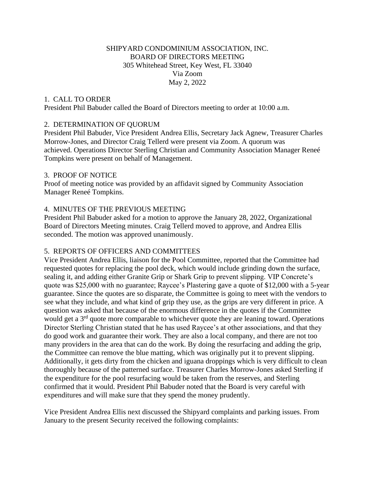# SHIPYARD CONDOMINIUM ASSOCIATION, INC. BOARD OF DIRECTORS MEETING 305 Whitehead Street, Key West, FL 33040 Via Zoom May 2, 2022

## 1. CALL TO ORDER

President Phil Babuder called the Board of Directors meeting to order at 10:00 a.m.

#### 2. DETERMINATION OF QUORUM

President Phil Babuder, Vice President Andrea Ellis, Secretary Jack Agnew, Treasurer Charles Morrow-Jones, and Director Craig Tellerd were present via Zoom. A quorum was achieved. Operations Director Sterling Christian and Community Association Manager Reneé Tompkins were present on behalf of Management.

#### 3. PROOF OF NOTICE

Proof of meeting notice was provided by an affidavit signed by Community Association Manager Reneé Tompkins.

## 4. MINUTES OF THE PREVIOUS MEETING

President Phil Babuder asked for a motion to approve the January 28, 2022, Organizational Board of Directors Meeting minutes. Craig Tellerd moved to approve, and Andrea Ellis seconded. The motion was approved unanimously.

## 5. REPORTS OF OFFICERS AND COMMITTEES

Vice President Andrea Ellis, liaison for the Pool Committee, reported that the Committee had requested quotes for replacing the pool deck, which would include grinding down the surface, sealing it, and adding either Granite Grip or Shark Grip to prevent slipping. VIP Concrete's quote was \$25,000 with no guarantee; Raycee's Plastering gave a quote of \$12,000 with a 5-year guarantee. Since the quotes are so disparate, the Committee is going to meet with the vendors to see what they include, and what kind of grip they use, as the grips are very different in price. A question was asked that because of the enormous difference in the quotes if the Committee would get a  $3<sup>rd</sup>$  quote more comparable to whichever quote they are leaning toward. Operations Director Sterling Christian stated that he has used Raycee's at other associations, and that they do good work and guarantee their work. They are also a local company, and there are not too many providers in the area that can do the work. By doing the resurfacing and adding the grip, the Committee can remove the blue matting, which was originally put it to prevent slipping. Additionally, it gets dirty from the chicken and iguana droppings which is very difficult to clean thoroughly because of the patterned surface. Treasurer Charles Morrow-Jones asked Sterling if the expenditure for the pool resurfacing would be taken from the reserves, and Sterling confirmed that it would. President Phil Babuder noted that the Board is very careful with expenditures and will make sure that they spend the money prudently.

Vice President Andrea Ellis next discussed the Shipyard complaints and parking issues. From January to the present Security received the following complaints: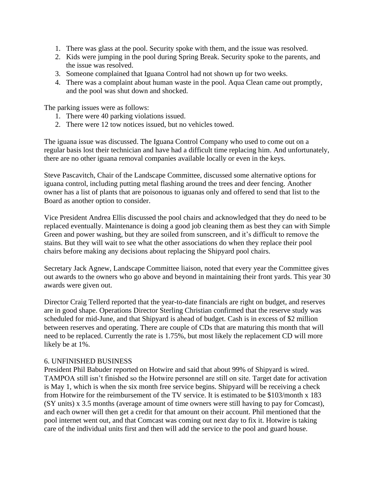- 1. There was glass at the pool. Security spoke with them, and the issue was resolved.
- 2. Kids were jumping in the pool during Spring Break. Security spoke to the parents, and the issue was resolved.
- 3. Someone complained that Iguana Control had not shown up for two weeks.
- 4. There was a complaint about human waste in the pool. Aqua Clean came out promptly, and the pool was shut down and shocked.

The parking issues were as follows:

- 1. There were 40 parking violations issued.
- 2. There were 12 tow notices issued, but no vehicles towed.

The iguana issue was discussed. The Iguana Control Company who used to come out on a regular basis lost their technician and have had a difficult time replacing him. And unfortunately, there are no other iguana removal companies available locally or even in the keys.

Steve Pascavitch, Chair of the Landscape Committee, discussed some alternative options for iguana control, including putting metal flashing around the trees and deer fencing. Another owner has a list of plants that are poisonous to iguanas only and offered to send that list to the Board as another option to consider.

Vice President Andrea Ellis discussed the pool chairs and acknowledged that they do need to be replaced eventually. Maintenance is doing a good job cleaning them as best they can with Simple Green and power washing, but they are soiled from sunscreen, and it's difficult to remove the stains. But they will wait to see what the other associations do when they replace their pool chairs before making any decisions about replacing the Shipyard pool chairs.

Secretary Jack Agnew, Landscape Committee liaison, noted that every year the Committee gives out awards to the owners who go above and beyond in maintaining their front yards. This year 30 awards were given out.

Director Craig Tellerd reported that the year-to-date financials are right on budget, and reserves are in good shape. Operations Director Sterling Christian confirmed that the reserve study was scheduled for mid-June, and that Shipyard is ahead of budget. Cash is in excess of \$2 million between reserves and operating. There are couple of CDs that are maturing this month that will need to be replaced. Currently the rate is 1.75%, but most likely the replacement CD will more likely be at 1%.

## 6. UNFINISHED BUSINESS

President Phil Babuder reported on Hotwire and said that about 99% of Shipyard is wired. TAMPOA still isn't finished so the Hotwire personnel are still on site. Target date for activation is May 1, which is when the six month free service begins. Shipyard will be receiving a check from Hotwire for the reimbursement of the TV service. It is estimated to be \$103/month x 183 (SY units) x 3.5 months (average amount of time owners were still having to pay for Comcast), and each owner will then get a credit for that amount on their account. Phil mentioned that the pool internet went out, and that Comcast was coming out next day to fix it. Hotwire is taking care of the individual units first and then will add the service to the pool and guard house.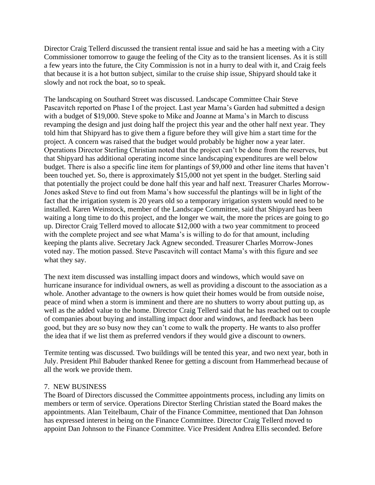Director Craig Tellerd discussed the transient rental issue and said he has a meeting with a City Commissioner tomorrow to gauge the feeling of the City as to the transient licenses. As it is still a few years into the future, the City Commission is not in a hurry to deal with it, and Craig feels that because it is a hot button subject, similar to the cruise ship issue, Shipyard should take it slowly and not rock the boat, so to speak.

The landscaping on Southard Street was discussed. Landscape Committee Chair Steve Pascavitch reported on Phase I of the project. Last year Mama's Garden had submitted a design with a budget of \$19,000. Steve spoke to Mike and Joanne at Mama's in March to discuss revamping the design and just doing half the project this year and the other half next year. They told him that Shipyard has to give them a figure before they will give him a start time for the project. A concern was raised that the budget would probably be higher now a year later. Operations Director Sterling Christian noted that the project can't be done from the reserves, but that Shipyard has additional operating income since landscaping expenditures are well below budget. There is also a specific line item for plantings of \$9,000 and other line items that haven't been touched yet. So, there is approximately \$15,000 not yet spent in the budget. Sterling said that potentially the project could be done half this year and half next. Treasurer Charles Morrow-Jones asked Steve to find out from Mama's how successful the plantings will be in light of the fact that the irrigation system is 20 years old so a temporary irrigation system would need to be installed. Karen Weinstock, member of the Landscape Committee, said that Shipyard has been waiting a long time to do this project, and the longer we wait, the more the prices are going to go up. Director Craig Tellerd moved to allocate \$12,000 with a two year commitment to proceed with the complete project and see what Mama's is willing to do for that amount, including keeping the plants alive. Secretary Jack Agnew seconded. Treasurer Charles Morrow-Jones voted nay. The motion passed. Steve Pascavitch will contact Mama's with this figure and see what they say.

The next item discussed was installing impact doors and windows, which would save on hurricane insurance for individual owners, as well as providing a discount to the association as a whole. Another advantage to the owners is how quiet their homes would be from outside noise, peace of mind when a storm is imminent and there are no shutters to worry about putting up, as well as the added value to the home. Director Craig Tellerd said that he has reached out to couple of companies about buying and installing impact door and windows, and feedback has been good, but they are so busy now they can't come to walk the property. He wants to also proffer the idea that if we list them as preferred vendors if they would give a discount to owners.

Termite tenting was discussed. Two buildings will be tented this year, and two next year, both in July. President Phil Babuder thanked Renee for getting a discount from Hammerhead because of all the work we provide them.

## 7. NEW BUSINESS

The Board of Directors discussed the Committee appointments process, including any limits on members or term of service. Operations Director Sterling Christian stated the Board makes the appointments. Alan Teitelbaum, Chair of the Finance Committee, mentioned that Dan Johnson has expressed interest in being on the Finance Committee. Director Craig Tellerd moved to appoint Dan Johnson to the Finance Committee. Vice President Andrea Ellis seconded. Before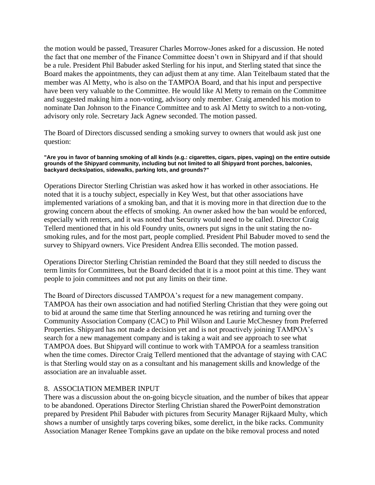the motion would be passed, Treasurer Charles Morrow-Jones asked for a discussion. He noted the fact that one member of the Finance Committee doesn't own in Shipyard and if that should be a rule. President Phil Babuder asked Sterling for his input, and Sterling stated that since the Board makes the appointments, they can adjust them at any time. Alan Teitelbaum stated that the member was Al Metty, who is also on the TAMPOA Board, and that his input and perspective have been very valuable to the Committee. He would like Al Metty to remain on the Committee and suggested making him a non-voting, advisory only member. Craig amended his motion to nominate Dan Johnson to the Finance Committee and to ask Al Metty to switch to a non-voting, advisory only role. Secretary Jack Agnew seconded. The motion passed.

The Board of Directors discussed sending a smoking survey to owners that would ask just one question:

#### **"Are you in favor of banning smoking of all kinds (e.g.: cigarettes, cigars, pipes, vaping) on the entire outside grounds of the Shipyard community, including but not limited to all Shipyard front porches, balconies, backyard decks/patios, sidewalks, parking lots, and grounds?"**

Operations Director Sterling Christian was asked how it has worked in other associations. He noted that it is a touchy subject, especially in Key West, but that other associations have implemented variations of a smoking ban, and that it is moving more in that direction due to the growing concern about the effects of smoking. An owner asked how the ban would be enforced, especially with renters, and it was noted that Security would need to be called. Director Craig Tellerd mentioned that in his old Foundry units, owners put signs in the unit stating the nosmoking rules, and for the most part, people complied. President Phil Babuder moved to send the survey to Shipyard owners. Vice President Andrea Ellis seconded. The motion passed.

Operations Director Sterling Christian reminded the Board that they still needed to discuss the term limits for Committees, but the Board decided that it is a moot point at this time. They want people to join committees and not put any limits on their time.

The Board of Directors discussed TAMPOA's request for a new management company. TAMPOA has their own association and had notified Sterling Christian that they were going out to bid at around the same time that Sterling announced he was retiring and turning over the Community Association Company (CAC) to Phil Wilson and Laurie McChesney from Preferred Properties. Shipyard has not made a decision yet and is not proactively joining TAMPOA's search for a new management company and is taking a wait and see approach to see what TAMPOA does. But Shipyard will continue to work with TAMPOA for a seamless transition when the time comes. Director Craig Tellerd mentioned that the advantage of staying with CAC is that Sterling would stay on as a consultant and his management skills and knowledge of the association are an invaluable asset.

## 8. ASSOCIATION MEMBER INPUT

There was a discussion about the on-going bicycle situation, and the number of bikes that appear to be abandoned. Operations Director Sterling Christian shared the PowerPoint demonstration prepared by President Phil Babuder with pictures from Security Manager Rijkaard Multy, which shows a number of unsightly tarps covering bikes, some derelict, in the bike racks. Community Association Manager Renee Tompkins gave an update on the bike removal process and noted